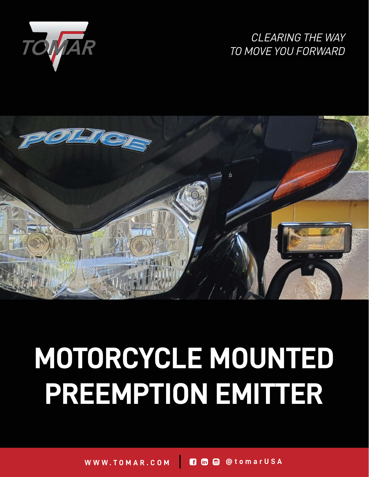

# *CLEARING THE WAY TO MOVE YOU FORWARD*



# **MOTORCYCLE MOUNTED PREEMPTION EMITTER**

**WWW.TOMAR.COM @tomarUSA**